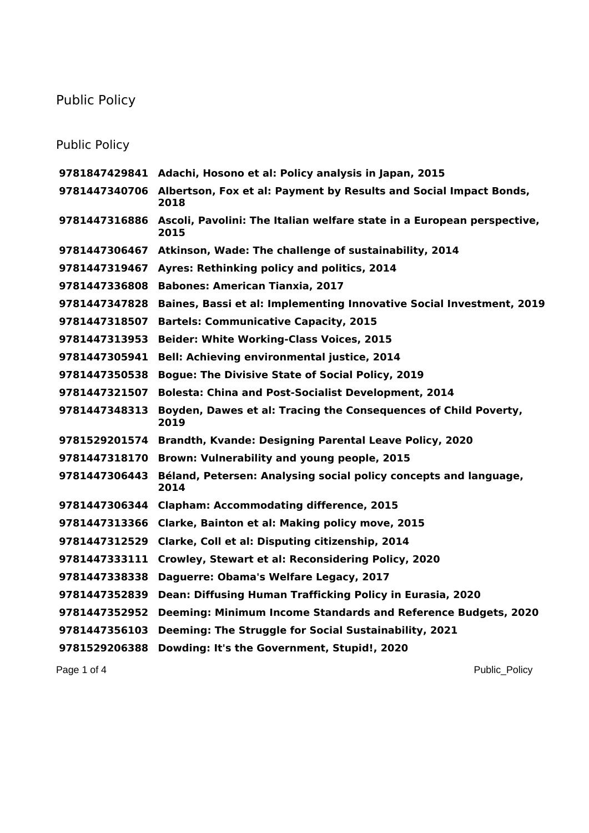## Public Policy

## Public Policy

|               | 9781847429841 Adachi, Hosono et al: Policy analysis in Japan, 2015             |
|---------------|--------------------------------------------------------------------------------|
| 9781447340706 | Albertson, Fox et al: Payment by Results and Social Impact Bonds,<br>2018      |
| 9781447316886 | Ascoli, Pavolini: The Italian welfare state in a European perspective,<br>2015 |
| 9781447306467 | Atkinson, Wade: The challenge of sustainability, 2014                          |
| 9781447319467 | Ayres: Rethinking policy and politics, 2014                                    |
| 9781447336808 | <b>Babones: American Tianxia, 2017</b>                                         |
| 9781447347828 | Baines, Bassi et al: Implementing Innovative Social Investment, 2019           |
| 9781447318507 | <b>Bartels: Communicative Capacity, 2015</b>                                   |
| 9781447313953 | <b>Beider: White Working-Class Voices, 2015</b>                                |
| 9781447305941 | Bell: Achieving environmental justice, 2014                                    |
| 9781447350538 | <b>Bogue: The Divisive State of Social Policy, 2019</b>                        |
| 9781447321507 | <b>Bolesta: China and Post-Socialist Development, 2014</b>                     |
| 9781447348313 | Boyden, Dawes et al: Tracing the Consequences of Child Poverty,<br>2019        |
| 9781529201574 | Brandth, Kvande: Designing Parental Leave Policy, 2020                         |
| 9781447318170 | Brown: Vulnerability and young people, 2015                                    |
| 9781447306443 | Béland, Petersen: Analysing social policy concepts and language,<br>2014       |
| 9781447306344 | <b>Clapham: Accommodating difference, 2015</b>                                 |
| 9781447313366 | Clarke, Bainton et al: Making policy move, 2015                                |
| 9781447312529 | Clarke, Coll et al: Disputing citizenship, 2014                                |
| 9781447333111 | Crowley, Stewart et al: Reconsidering Policy, 2020                             |
| 9781447338338 | Daguerre: Obama's Welfare Legacy, 2017                                         |
| 9781447352839 | Dean: Diffusing Human Trafficking Policy in Eurasia, 2020                      |
| 9781447352952 | <b>Deeming: Minimum Income Standards and Reference Budgets, 2020</b>           |
| 9781447356103 | Deeming: The Struggle for Social Sustainability, 2021                          |
| 9781529206388 | Dowding: It's the Government, Stupid!, 2020                                    |

Page 1 of 4 Public\_Policy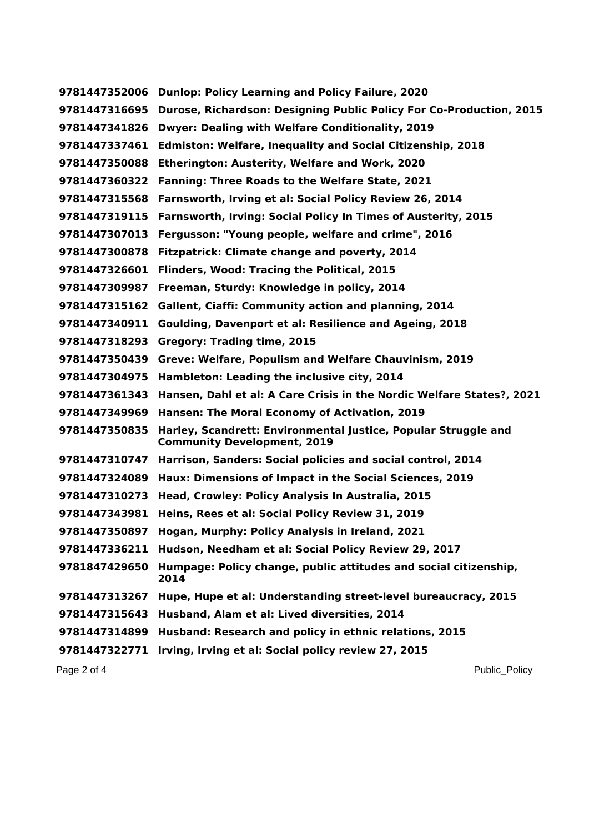**Dunlop: Policy Learning and Policy Failure, 2020 Durose, Richardson: Designing Public Policy For Co-Production, 2015 Dwyer: Dealing with Welfare Conditionality, 2019 Edmiston: Welfare, Inequality and Social Citizenship, 2018 Etherington: Austerity, Welfare and Work, 2020 Fanning: Three Roads to the Welfare State, 2021 Farnsworth, Irving et al: Social Policy Review 26, 2014 Farnsworth, Irving: Social Policy In Times of Austerity, 2015 Fergusson: "Young people, welfare and crime", 2016 Fitzpatrick: Climate change and poverty, 2014 Flinders, Wood: Tracing the Political, 2015 Freeman, Sturdy: Knowledge in policy, 2014 Gallent, Ciaffi: Community action and planning, 2014 Goulding, Davenport et al: Resilience and Ageing, 2018 Gregory: Trading time, 2015 Greve: Welfare, Populism and Welfare Chauvinism, 2019 Hambleton: Leading the inclusive city, 2014 Hansen, Dahl et al: A Care Crisis in the Nordic Welfare States?, 2021 Hansen: The Moral Economy of Activation, 2019 Harley, Scandrett: Environmental Justice, Popular Struggle and Community Development, 2019 Harrison, Sanders: Social policies and social control, 2014 Haux: Dimensions of Impact in the Social Sciences, 2019 Head, Crowley: Policy Analysis In Australia, 2015 Heins, Rees et al: Social Policy Review 31, 2019 Hogan, Murphy: Policy Analysis in Ireland, 2021 Hudson, Needham et al: Social Policy Review 29, 2017 Humpage: Policy change, public attitudes and social citizenship, Hupe, Hupe et al: Understanding street-level bureaucracy, 2015 Husband, Alam et al: Lived diversities, 2014 Husband: Research and policy in ethnic relations, 2015 Irving, Irving et al: Social policy review 27, 2015**

Page 2 of 4 Public Policy and Public Policy and Public Policy and Public Policy and Public Policy and Public Policy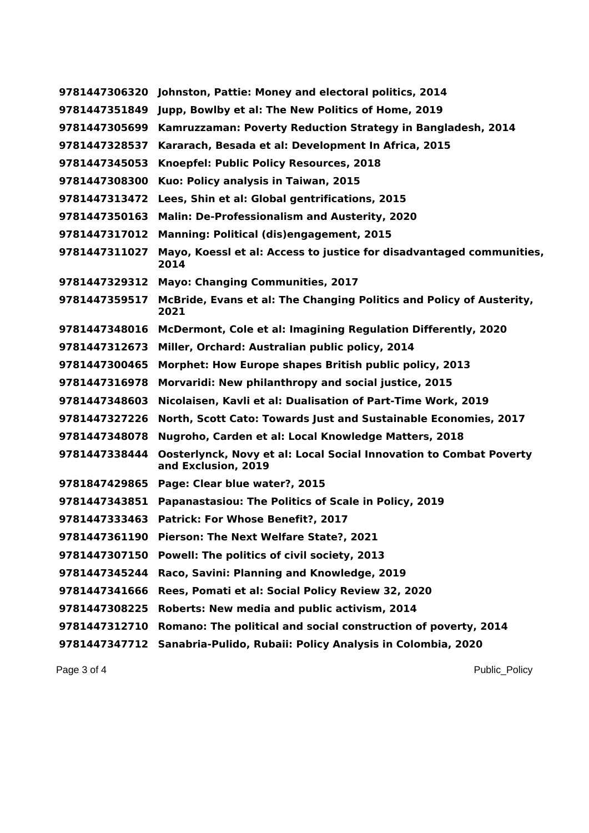| 9781447306320 | Johnston, Pattie: Money and electoral politics, 2014                                             |
|---------------|--------------------------------------------------------------------------------------------------|
| 9781447351849 | Jupp, Bowlby et al: The New Politics of Home, 2019                                               |
| 9781447305699 | Kamruzzaman: Poverty Reduction Strategy in Bangladesh, 2014                                      |
| 9781447328537 | Kararach, Besada et al: Development In Africa, 2015                                              |
| 9781447345053 | Knoepfel: Public Policy Resources, 2018                                                          |
| 9781447308300 | Kuo: Policy analysis in Taiwan, 2015                                                             |
| 9781447313472 | Lees, Shin et al: Global gentrifications, 2015                                                   |
| 9781447350163 | <b>Malin: De-Professionalism and Austerity, 2020</b>                                             |
| 9781447317012 | <b>Manning: Political (dis)engagement, 2015</b>                                                  |
| 9781447311027 | Mayo, Koessl et al: Access to justice for disadvantaged communities,<br>2014                     |
| 9781447329312 | <b>Mayo: Changing Communities, 2017</b>                                                          |
| 9781447359517 | McBride, Evans et al: The Changing Politics and Policy of Austerity,<br>2021                     |
| 9781447348016 | McDermont, Cole et al: Imagining Regulation Differently, 2020                                    |
| 9781447312673 | Miller, Orchard: Australian public policy, 2014                                                  |
| 9781447300465 | Morphet: How Europe shapes British public policy, 2013                                           |
| 9781447316978 | Morvaridi: New philanthropy and social justice, 2015                                             |
| 9781447348603 | Nicolaisen, Kavli et al: Dualisation of Part-Time Work, 2019                                     |
| 9781447327226 | North, Scott Cato: Towards Just and Sustainable Economies, 2017                                  |
| 9781447348078 | Nugroho, Carden et al: Local Knowledge Matters, 2018                                             |
| 9781447338444 | <b>Oosterlynck, Novy et al: Local Social Innovation to Combat Poverty</b><br>and Exclusion, 2019 |
| 9781847429865 | Page: Clear blue water?, 2015                                                                    |
| 9781447343851 | Papanastasiou: The Politics of Scale in Policy, 2019                                             |
| 9781447333463 | Patrick: For Whose Benefit?, 2017                                                                |
| 9781447361190 | Pierson: The Next Welfare State?, 2021                                                           |
| 9781447307150 | Powell: The politics of civil society, 2013                                                      |
| 9781447345244 | Raco, Savini: Planning and Knowledge, 2019                                                       |
| 9781447341666 | Rees, Pomati et al: Social Policy Review 32, 2020                                                |
| 9781447308225 | Roberts: New media and public activism, 2014                                                     |
| 9781447312710 | Romano: The political and social construction of poverty, 2014                                   |
| 9781447347712 | Sanabria-Pulido, Rubaii: Policy Analysis in Colombia, 2020                                       |

Page 3 of 4 Public\_Policy